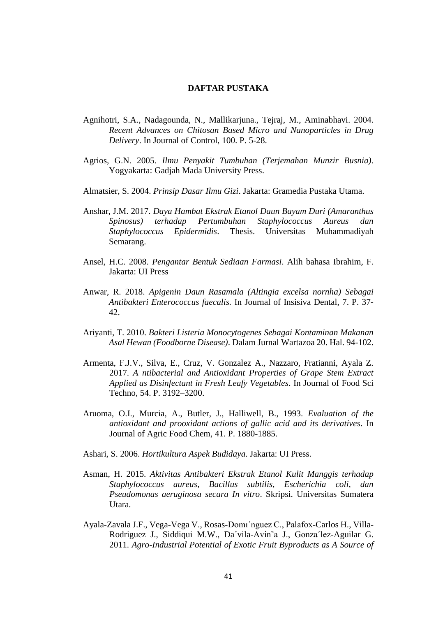## **DAFTAR PUSTAKA**

- Agnihotri, S.A., Nadagounda, N., Mallikarjuna., Tejraj, M., Aminabhavi. 2004. *Recent Advances on Chitosan Based Micro and Nanoparticles in Drug Delivery*. In Journal of Control, 100. P. 5-28.
- Agrios, G.N. 2005. *Ilmu Penyakit Tumbuhan (Terjemahan Munzir Busnia)*. Yogyakarta: Gadjah Mada University Press.
- Almatsier, S. 2004. *Prinsip Dasar Ilmu Gizi*. Jakarta: Gramedia Pustaka Utama.
- Anshar, J.M. 2017. *Daya Hambat Ekstrak Etanol Daun Bayam Duri (Amaranthus Spinosus) terhadap Pertumbuhan Staphylococcus Aureus dan Staphylococcus Epidermidis*. Thesis. Universitas Muhammadiyah Semarang.
- Ansel, H.C. 2008. *Pengantar Bentuk Sediaan Farmasi*. Alih bahasa Ibrahim, F. Jakarta: UI Press
- Anwar, R. 2018. *Apigenin Daun Rasamala (Altingia excelsa nornha) Sebagai Antibakteri Enterococcus faecalis.* In Journal of Insisiva Dental, 7. P. 37- 42.
- Ariyanti, T. 2010. *Bakteri Listeria Monocytogenes Sebagai Kontaminan Makanan Asal Hewan (Foodborne Disease)*. Dalam Jurnal Wartazoa 20. Hal. 94-102.
- Armenta, F.J.V., Silva, E., Cruz, V. Gonzalez A., Nazzaro, Fratianni, Ayala Z. 2017. *A ntibacterial and Antioxidant Properties of Grape Stem Extract Applied as Disinfectant in Fresh Leafy Vegetables*. In Journal of Food Sci Techno, 54. P. 3192–3200.
- Aruoma, O.I., Murcia, A., Butler, J., Halliwell, B., 1993. *Evaluation of the antioxidant and prooxidant actions of gallic acid and its derivatives*. In Journal of Agric Food Chem, 41. P. 1880-1885.
- Ashari, S. 2006. *Hortikultura Aspek Budidaya*. Jakarta: UI Press.
- Asman, H. 2015. *Aktivitas Antibakteri Ekstrak Etanol Kulit Manggis terhadap Staphylococcus aureus, Bacillus subtilis, Escherichia coli, dan Pseudomonas aeruginosa secara In vitro*. Skripsi. Universitas Sumatera Utara.
- Ayala-Zavala J.F., Vega-Vega V., Rosas-Domı´nguez C., Palafox-Carlos H., Villa-Rodriguez J., Siddiqui M.W., Da´vila-Avin˜a J., Gonza´lez-Aguilar G. 2011. *Agro-Industrial Potential of Exotic Fruit Byproducts as A Source of*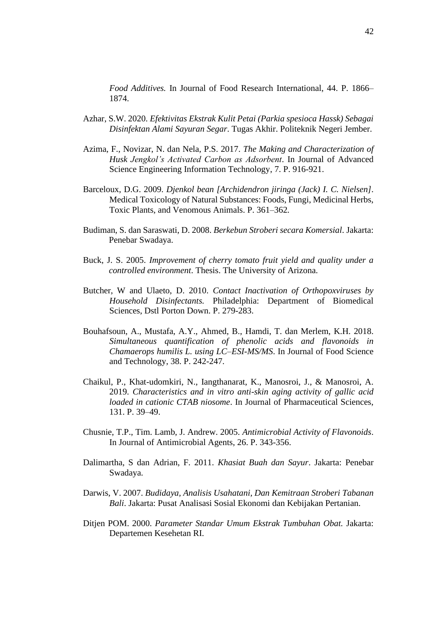*Food Additives.* In Journal of Food Research International, 44. P. 1866– 1874.

- Azhar, S.W. 2020. *Efektivitas Ekstrak Kulit Petai (Parkia spesioca Hassk) Sebagai Disinfektan Alami Sayuran Segar*. Tugas Akhir. Politeknik Negeri Jember.
- Azima, F., Novizar, N. dan Nela, P.S. 2017. *The Making and Characterization of Husk Jengkol's Activated Carbon as Adsorbent*. In Journal of Advanced Science Engineering Information Technology, 7. P. 916-921.
- Barceloux, D.G. 2009. *Djenkol bean [Archidendron jiringa (Jack) I. C. Nielsen]*. Medical Toxicology of Natural Substances: Foods, Fungi, Medicinal Herbs, Toxic Plants, and Venomous Animals. P. 361–362.
- Budiman, S. dan Saraswati, D. 2008. *Berkebun Stroberi secara Komersial*. Jakarta: Penebar Swadaya.
- Buck, J. S. 2005. *Improvement of cherry tomato fruit yield and quality under a controlled environment*. Thesis. The University of Arizona.
- Butcher, W and Ulaeto, D. 2010. *Contact Inactivation of Orthopoxviruses by Household Disinfectants.* Philadelphia: Department of Biomedical Sciences, Dstl Porton Down. P. 279-283.
- Bouhafsoun, A., Mustafa, A.Y., Ahmed, B., Hamdi, T. dan Merlem, K.H. 2018. *Simultaneous quantification of phenolic acids and flavonoids in Chamaerops humilis L. using LC–ESI-MS/MS*. In Journal of Food Science and Technology, 38. P. 242-247.
- Chaikul, P., Khat-udomkiri, N., Iangthanarat, K., Manosroi, J., & Manosroi, A. 2019. *Characteristics and in vitro anti-skin aging activity of gallic acid loaded in cationic CTAB niosome*. In Journal of Pharmaceutical Sciences, 131. P. 39–49.
- Chusnie, T.P., Tim. Lamb, J. Andrew. 2005. *Antimicrobial Activity of Flavonoids*. In Journal of Antimicrobial Agents, 26. P. 343-356.
- Dalimartha, S dan Adrian, F. 2011. *Khasiat Buah dan Sayur*. Jakarta: Penebar Swadaya.
- Darwis, V. 2007. *Budidaya, Analisis Usahatani, Dan Kemitraan Stroberi Tabanan Bali*. Jakarta: Pusat Analisasi Sosial Ekonomi dan Kebijakan Pertanian.
- Ditjen POM. 2000. *Parameter Standar Umum Ekstrak Tumbuhan Obat.* Jakarta: Departemen Kesehetan RI.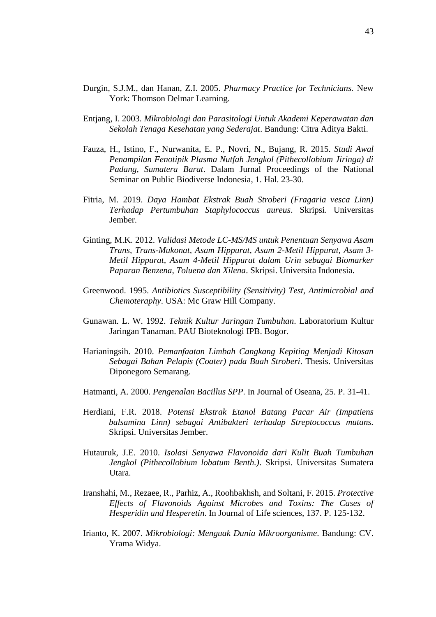- Durgin, S.J.M., dan Hanan, Z.I. 2005. *Pharmacy Practice for Technicians.* New York: Thomson Delmar Learning.
- Entjang, I. 2003. *Mikrobiologi dan Parasitologi Untuk Akademi Keperawatan dan Sekolah Tenaga Kesehatan yang Sederajat*. Bandung: Citra Aditya Bakti.
- Fauza, H., Istino, F., Nurwanita, E. P., Novri, N., Bujang, R. 2015. *Studi Awal Penampilan Fenotipik Plasma Nutfah Jengkol (Pithecollobium Jiringa) di Padang, Sumatera Barat*. Dalam Jurnal Proceedings of the National Seminar on Public Biodiverse Indonesia, 1. Hal. 23-30.
- Fitria, M. 2019. *Daya Hambat Ekstrak Buah Stroberi (Fragaria vesca Linn) Terhadap Pertumbuhan Staphylococcus aureus*. Skripsi. Universitas Jember.
- Ginting, M.K. 2012. *Validasi Metode LC-MS/MS untuk Penentuan Senyawa Asam Trans, Trans-Mukonat, Asam Hippurat, Asam 2-Metil Hippurat, Asam 3- Metil Hippurat, Asam 4-Metil Hippurat dalam Urin sebagai Biomarker Paparan Benzena, Toluena dan Xilena*. Skripsi. Universita Indonesia.
- Greenwood. 1995. *Antibiotics Susceptibility (Sensitivity) Test, Antimicrobial and Chemoteraphy*. USA: Mc Graw Hill Company.
- Gunawan. L. W. 1992. *Teknik Kultur Jaringan Tumbuhan*. Laboratorium Kultur Jaringan Tanaman. PAU Bioteknologi IPB. Bogor.
- Harianingsih. 2010. *Pemanfaatan Limbah Cangkang Kepiting Menjadi Kitosan Sebagai Bahan Pelapis (Coater) pada Buah Stroberi*. Thesis. Universitas Diponegoro Semarang.
- Hatmanti, A. 2000. *Pengenalan Bacillus SPP*. In Journal of Oseana, 25. P. 31-41.
- Herdiani, F.R. 2018. *Potensi Ekstrak Etanol Batang Pacar Air (Impatiens balsamina Linn) sebagai Antibakteri terhadap Streptococcus mutans.* Skripsi. Universitas Jember.
- Hutauruk, J.E. 2010. *Isolasi Senyawa Flavonoida dari Kulit Buah Tumbuhan Jengkol (Pithecollobium lobatum Benth.)*. Skripsi. Universitas Sumatera Utara.
- Iranshahi, M., Rezaee, R., Parhiz, A., Roohbakhsh, and Soltani, F. 2015. *Protective Effects of Flavonoids Against Microbes and Toxins: The Cases of Hesperidin and Hesperetin*. In Journal of Life sciences, 137. P. 125-132.
- Irianto, K. 2007. *Mikrobiologi: Menguak Dunia Mikroorganisme*. Bandung: CV. Yrama Widya.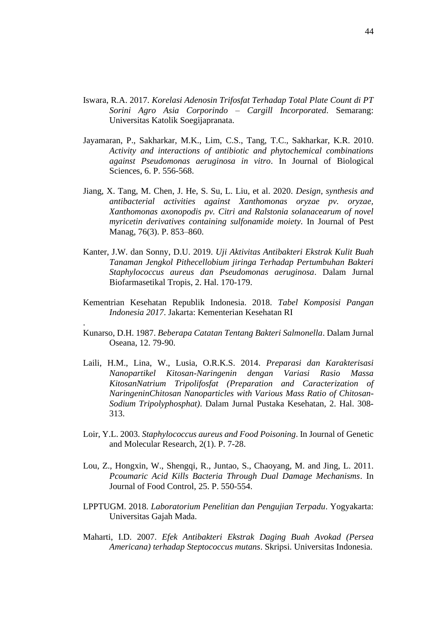- Iswara, R.A. 2017. *Korelasi Adenosin Trifosfat Terhadap Total Plate Count di PT Sorini Agro Asia Corporindo – Cargill Incorporated*. Semarang: Universitas Katolik Soegijapranata.
- Jayamaran, P., Sakharkar, M.K., Lim, C.S., Tang, T.C., Sakharkar, K.R. 2010. *Activity and interactions of antibiotic and phytochemical combinations against Pseudomonas aeruginosa in vitro*. In Journal of Biological Sciences, 6. P. 556-568.
- Jiang, X. Tang, M. Chen, J. He, S. Su, L. Liu, et al. 2020*. Design, synthesis and antibacterial activities against Xanthomonas oryzae pv. oryzae, Xanthomonas axonopodis pv. Citri and Ralstonia solanacearum of novel myricetin derivatives containing sulfonamide moiety*. In Journal of Pest Manag, 76(3). P. 853–860.
- Kanter, J.W. dan Sonny, D.U. 2019. *Uji Aktivitas Antibakteri Ekstrak Kulit Buah Tanaman Jengkol Pithecellobium jiringa Terhadap Pertumbuhan Bakteri Staphylococcus aureus dan Pseudomonas aeruginosa*. Dalam Jurnal Biofarmasetikal Tropis, 2. Hal. 170-179.
- Kementrian Kesehatan Republik Indonesia. 2018. *Tabel Komposisi Pangan Indonesia 2017*. Jakarta: Kementerian Kesehatan RI
- Kunarso, D.H. 1987. *Beberapa Catatan Tentang Bakteri Salmonella*. Dalam Jurnal Oseana, 12. 79-90.

.

- Laili, H.M., Lina, W., Lusia, O.R.K.S. 2014. *Preparasi dan Karakterisasi Nanopartikel Kitosan-Naringenin dengan Variasi Rasio Massa KitosanNatrium Tripolifosfat (Preparation and Caracterization of NaringeninChitosan Nanoparticles with Various Mass Ratio of Chitosan-Sodium Tripolyphosphat)*. Dalam Jurnal Pustaka Kesehatan, 2. Hal. 308- 313.
- Loir, Y.L. 2003. *Staphylococcus aureus and Food Poisoning*. In Journal of Genetic and Molecular Research, 2(1). P. 7-28.
- Lou, Z., Hongxin, W., Shengqi, R., Juntao, S., Chaoyang, M. and Jing, L. 2011. *Pcoumaric Acid Kills Bacteria Through Dual Damage Mechanisms*. In Journal of Food Control, 25. P. 550-554.
- LPPTUGM. 2018. *Laboratorium Penelitian dan Pengujian Terpadu*. Yogyakarta: Universitas Gajah Mada.
- Maharti, I.D. 2007. *Efek Antibakteri Ekstrak Daging Buah Avokad (Persea Americana) terhadap Steptococcus mutans*. Skripsi. Universitas Indonesia.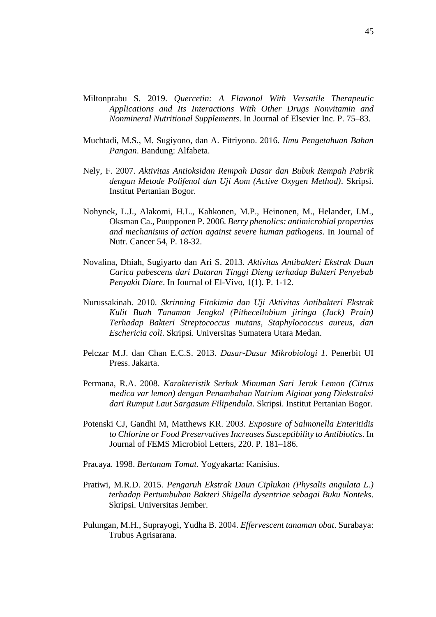- Miltonprabu S. 2019. *Quercetin: A Flavonol With Versatile Therapeutic Applications and Its Interactions With Other Drugs Nonvitamin and Nonmineral Nutritional Supplements*. In Journal of Elsevier Inc. P. 75–83.
- Muchtadi, M.S., M. Sugiyono, dan A. Fitriyono. 2016. *Ilmu Pengetahuan Bahan Pangan*. Bandung: Alfabeta.
- Nely, F. 2007. *Aktivitas Antioksidan Rempah Dasar dan Bubuk Rempah Pabrik dengan Metode Polifenol dan Uji Aom (Active Oxygen Method)*. Skripsi. Institut Pertanian Bogor.
- Nohynek, L.J., Alakomi, H.L., Kahkonen, M.P., Heinonen, M., Helander, I.M., Oksman Ca., Puupponen P. 2006. *Berry phenolics: antimicrobial properties and mechanisms of action against severe human pathogens*. In Journal of Nutr. Cancer 54, P. 18-32.
- Novalina, Dhiah, Sugiyarto dan Ari S. 2013. *Aktivitas Antibakteri Ekstrak Daun Carica pubescens dari Dataran Tinggi Dieng terhadap Bakteri Penyebab Penyakit Diare*. In Journal of El-Vivo, 1(1). P. 1-12.
- Nurussakinah. 2010. *Skrinning Fitokimia dan Uji Aktivitas Antibakteri Ekstrak Kulit Buah Tanaman Jengkol (Pithecellobium jiringa (Jack) Prain) Terhadap Bakteri Streptococcus mutans, Staphylococcus aureus, dan Eschericia coli*. Skripsi. Universitas Sumatera Utara Medan.
- Pelczar M.J. dan Chan E.C.S. 2013. *Dasar-Dasar Mikrobiologi 1*. Penerbit UI Press. Jakarta.
- Permana, R.A. 2008. *Karakteristik Serbuk Minuman Sari Jeruk Lemon (Citrus medica var lemon) dengan Penambahan Natrium Alginat yang Diekstraksi dari Rumput Laut Sargasum Filipendula*. Skripsi. Institut Pertanian Bogor.
- Potenski CJ, Gandhi M, Matthews KR. 2003. *Exposure of Salmonella Enteritidis to Chlorine or Food Preservatives Increases Susceptibility to Antibiotics*. In Journal of FEMS Microbiol Letters, 220. P. 181–186.
- Pracaya. 1998. *Bertanam Tomat*. Yogyakarta: Kanisius.
- Pratiwi, M.R.D. 2015. *Pengaruh Ekstrak Daun Ciplukan (Physalis angulata L.) terhadap Pertumbuhan Bakteri Shigella dysentriae sebagai Buku Nonteks*. Skripsi. Universitas Jember.
- Pulungan, M.H., Suprayogi, Yudha B. 2004. *Effervescent tanaman obat*. Surabaya: Trubus Agrisarana.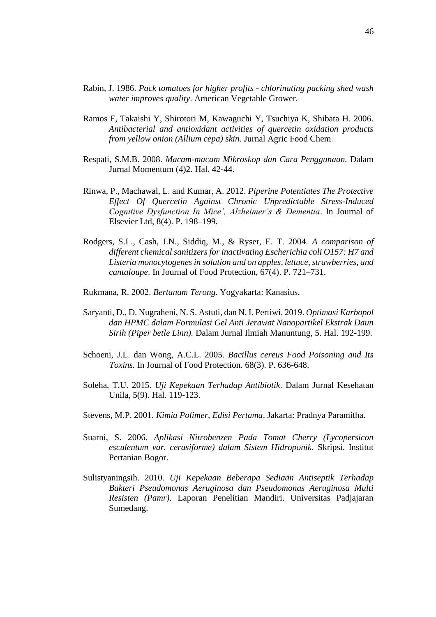- Rabin, J. 1986. *Pack tomatoes for higher profits - chlorinating packing shed wash water improves quality*. American Vegetable Grower.
- Ramos F, Takaishi Y, Shirotori M, Kawaguchi Y, Tsuchiya K, Shibata H. 2006. *Antibacterial and antioxidant activities of quercetin oxidation products from yellow onion (Allium cepa) skin*. Jurnal Agric Food Chem.
- Respati, S.M.B. 2008. *Macam-macam Mikroskop dan Cara Penggunaan.* Dalam Jurnal Momentum (4)2. Hal. 42-44.
- Rinwa, P., Machawal, L. and Kumar, A. 2012. *Piperine Potentiates The Protective Effect Of Quercetin Against Chronic Unpredictable Stress-Induced Cognitive Dysfunction In Mice', Alzheimer's & Dementia*. In Journal of Elsevier Ltd, 8(4). P. 198–199.
- Rodgers, S.L., Cash, J.N., Siddiq, M., & Ryser, E. T. 2004. *A comparison of different chemical sanitizers for inactivating Escherichia coli O157: H7 and Listeria monocytogenes in solution and on apples, lettuce, strawberries, and cantaloupe*. In Journal of Food Protection, 67(4). P. 721–731.
- Rukmana, R. 2002. *Bertanam Terong*. Yogyakarta: Kanasius.
- Saryanti, D., D. Nugraheni, N. S. Astuti, dan N. I. Pertiwi. 2019. *Optimasi Karbopol dan HPMC dalam Formulasi Gel Anti Jerawat Nanopartikel Ekstrak Daun Sirih (Piper betle Linn).* Dalam Jurnal Ilmiah Manuntung, 5. Hal. 192-199.
- Schoeni, J.L. dan Wong, A.C.L. 2005*. Bacillus cereus Food Poisoning and Its Toxins.* In Journal of Food Protection*.* 68(3). P. 636-648.
- Soleha, T.U. 2015. *Uji Kepekaan Terhadap Antibiotik*. Dalam Jurnal Kesehatan Unila*,* 5(9). Hal. 119-123.
- Stevens, M.P. 2001. *Kimia Polimer, Edisi Pertama*. Jakarta: Pradnya Paramitha.
- Suarni, S. 2006. *Aplikasi Nitrobenzen Pada Tomat Cherry (Lycopersicon esculentum var. cerasiforme) dalam Sistem Hidroponik*. Skripsi. Institut Pertanian Bogor.
- Sulistyaningsih. 2010. *Uji Kepekaan Beberapa Sediaan Antiseptik Terhadap Bakteri Pseudomonas Aeruginosa dan Pseudomonas Aeruginosa Multi Resisten (Pamr)*. Laporan Penelitian Mandiri. Universitas Padjajaran Sumedang.